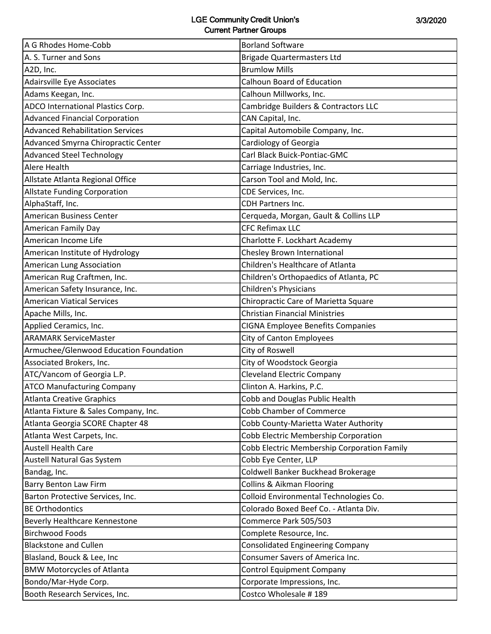| A G Rhodes Home-Cobb                    | <b>Borland Software</b>                     |
|-----------------------------------------|---------------------------------------------|
| A. S. Turner and Sons                   | <b>Brigade Quartermasters Ltd</b>           |
| A2D, Inc.                               | <b>Brumlow Mills</b>                        |
| Adairsville Eye Associates              | Calhoun Board of Education                  |
| Adams Keegan, Inc.                      | Calhoun Millworks, Inc.                     |
| ADCO International Plastics Corp.       | Cambridge Builders & Contractors LLC        |
| <b>Advanced Financial Corporation</b>   | CAN Capital, Inc.                           |
| <b>Advanced Rehabilitation Services</b> | Capital Automobile Company, Inc.            |
| Advanced Smyrna Chiropractic Center     | Cardiology of Georgia                       |
| <b>Advanced Steel Technology</b>        | Carl Black Buick-Pontiac-GMC                |
| Alere Health                            | Carriage Industries, Inc.                   |
| Allstate Atlanta Regional Office        | Carson Tool and Mold, Inc.                  |
| <b>Allstate Funding Corporation</b>     | CDE Services, Inc.                          |
| AlphaStaff, Inc.                        | <b>CDH Partners Inc.</b>                    |
| <b>American Business Center</b>         | Cerqueda, Morgan, Gault & Collins LLP       |
| <b>American Family Day</b>              | <b>CFC Refimax LLC</b>                      |
| American Income Life                    | Charlotte F. Lockhart Academy               |
| American Institute of Hydrology         | Chesley Brown International                 |
| American Lung Association               | Children's Healthcare of Atlanta            |
| American Rug Craftmen, Inc.             | Children's Orthopaedics of Atlanta, PC      |
| American Safety Insurance, Inc.         | Children's Physicians                       |
| <b>American Viatical Services</b>       | Chiropractic Care of Marietta Square        |
| Apache Mills, Inc.                      | <b>Christian Financial Ministries</b>       |
| Applied Ceramics, Inc.                  | <b>CIGNA Employee Benefits Companies</b>    |
| <b>ARAMARK ServiceMaster</b>            | City of Canton Employees                    |
| Armuchee/Glenwood Education Foundation  | City of Roswell                             |
| Associated Brokers, Inc.                | City of Woodstock Georgia                   |
| ATC/Vancom of Georgia L.P.              | <b>Cleveland Electric Company</b>           |
| <b>ATCO Manufacturing Company</b>       | Clinton A. Harkins, P.C.                    |
| Atlanta Creative Graphics               | Cobb and Douglas Public Health              |
| Atlanta Fixture & Sales Company, Inc.   | <b>Cobb Chamber of Commerce</b>             |
| Atlanta Georgia SCORE Chapter 48        | Cobb County-Marietta Water Authority        |
| Atlanta West Carpets, Inc.              | Cobb Electric Membership Corporation        |
| <b>Austell Health Care</b>              | Cobb Electric Membership Corporation Family |
| Austell Natural Gas System              | Cobb Eye Center, LLP                        |
| Bandag, Inc.                            | Coldwell Banker Buckhead Brokerage          |
| <b>Barry Benton Law Firm</b>            | <b>Collins &amp; Aikman Flooring</b>        |
| Barton Protective Services, Inc.        | Colloid Environmental Technologies Co.      |
| <b>BE Orthodontics</b>                  | Colorado Boxed Beef Co. - Atlanta Div.      |
| Beverly Healthcare Kennestone           | Commerce Park 505/503                       |
| <b>Birchwood Foods</b>                  | Complete Resource, Inc.                     |
| <b>Blackstone and Cullen</b>            | <b>Consolidated Engineering Company</b>     |
| Blasland, Bouck & Lee, Inc              | Consumer Savers of America Inc.             |
| <b>BMW Motorcycles of Atlanta</b>       | <b>Control Equipment Company</b>            |
| Bondo/Mar-Hyde Corp.                    | Corporate Impressions, Inc.                 |
| Booth Research Services, Inc.           | Costco Wholesale #189                       |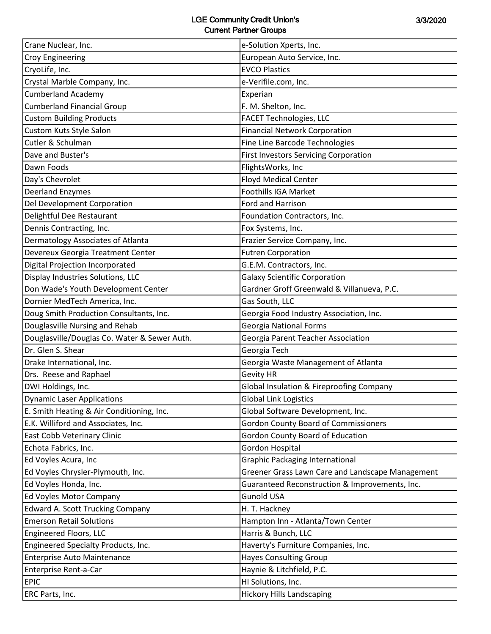| Crane Nuclear, Inc.                          | e-Solution Xperts, Inc.                          |
|----------------------------------------------|--------------------------------------------------|
| <b>Croy Engineering</b>                      | European Auto Service, Inc.                      |
| CryoLife, Inc.                               | <b>EVCO Plastics</b>                             |
| Crystal Marble Company, Inc.                 | e-Verifile.com, Inc.                             |
| <b>Cumberland Academy</b>                    | Experian                                         |
| <b>Cumberland Financial Group</b>            | F. M. Shelton, Inc.                              |
| <b>Custom Building Products</b>              | <b>FACET Technologies, LLC</b>                   |
| Custom Kuts Style Salon                      | <b>Financial Network Corporation</b>             |
| Cutler & Schulman                            | Fine Line Barcode Technologies                   |
| Dave and Buster's                            | <b>First Investors Servicing Corporation</b>     |
| Dawn Foods                                   | FlightsWorks, Inc                                |
| Day's Chevrolet                              | <b>Floyd Medical Center</b>                      |
| <b>Deerland Enzymes</b>                      | Foothills IGA Market                             |
| Del Development Corporation                  | Ford and Harrison                                |
| Delightful Dee Restaurant                    | Foundation Contractors, Inc.                     |
| Dennis Contracting, Inc.                     | Fox Systems, Inc.                                |
| Dermatology Associates of Atlanta            | Frazier Service Company, Inc.                    |
| Devereux Georgia Treatment Center            | <b>Futren Corporation</b>                        |
| <b>Digital Projection Incorporated</b>       | G.E.M. Contractors, Inc.                         |
| Display Industries Solutions, LLC            | <b>Galaxy Scientific Corporation</b>             |
| Don Wade's Youth Development Center          | Gardner Groff Greenwald & Villanueva, P.C.       |
| Dornier MedTech America, Inc.                | Gas South, LLC                                   |
| Doug Smith Production Consultants, Inc.      | Georgia Food Industry Association, Inc.          |
| Douglasville Nursing and Rehab               | <b>Georgia National Forms</b>                    |
| Douglasville/Douglas Co. Water & Sewer Auth. | Georgia Parent Teacher Association               |
| Dr. Glen S. Shear                            | Georgia Tech                                     |
| Drake International, Inc.                    | Georgia Waste Management of Atlanta              |
| Drs. Reese and Raphael                       | <b>Gevity HR</b>                                 |
| DWI Holdings, Inc.                           | Global Insulation & Fireproofing Company         |
| <b>Dynamic Laser Applications</b>            | <b>Global Link Logistics</b>                     |
| E. Smith Heating & Air Conditioning, Inc.    | Global Software Development, Inc.                |
| E.K. Williford and Associates, Inc.          | <b>Gordon County Board of Commissioners</b>      |
| East Cobb Veterinary Clinic                  | Gordon County Board of Education                 |
| Echota Fabrics, Inc.                         | Gordon Hospital                                  |
| Ed Voyles Acura, Inc                         | <b>Graphic Packaging International</b>           |
| Ed Voyles Chrysler-Plymouth, Inc.            | Greener Grass Lawn Care and Landscape Management |
| Ed Voyles Honda, Inc.                        | Guaranteed Reconstruction & Improvements, Inc.   |
| Ed Voyles Motor Company                      | <b>Gunold USA</b>                                |
| <b>Edward A. Scott Trucking Company</b>      | H. T. Hackney                                    |
| <b>Emerson Retail Solutions</b>              | Hampton Inn - Atlanta/Town Center                |
| Engineered Floors, LLC                       | Harris & Bunch, LLC                              |
| Engineered Specialty Products, Inc.          | Haverty's Furniture Companies, Inc.              |
| Enterprise Auto Maintenance                  | <b>Hayes Consulting Group</b>                    |
| Enterprise Rent-a-Car                        | Haynie & Litchfield, P.C.                        |
| <b>EPIC</b>                                  | HI Solutions, Inc.                               |
| ERC Parts, Inc.                              | <b>Hickory Hills Landscaping</b>                 |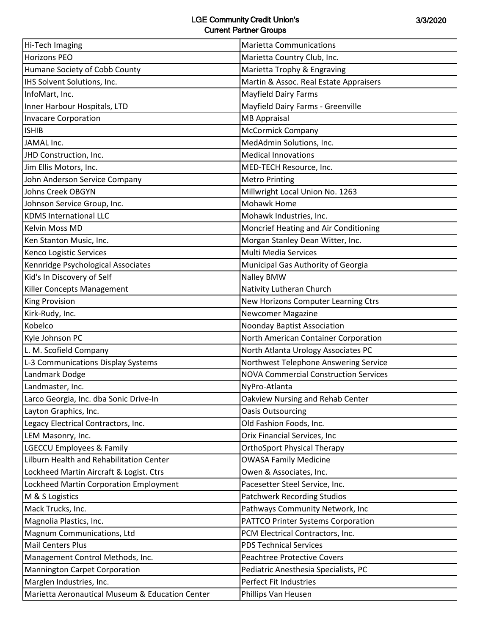| Hi-Tech Imaging                                 | <b>Marietta Communications</b>               |
|-------------------------------------------------|----------------------------------------------|
| <b>Horizons PEO</b>                             | Marietta Country Club, Inc.                  |
| Humane Society of Cobb County                   | Marietta Trophy & Engraving                  |
| IHS Solvent Solutions, Inc.                     | Martin & Assoc. Real Estate Appraisers       |
| InfoMart, Inc.                                  | <b>Mayfield Dairy Farms</b>                  |
| Inner Harbour Hospitals, LTD                    | Mayfield Dairy Farms - Greenville            |
| <b>Invacare Corporation</b>                     | <b>MB Appraisal</b>                          |
| <b>ISHIB</b>                                    | McCormick Company                            |
| JAMAL Inc.                                      | MedAdmin Solutions, Inc.                     |
| JHD Construction, Inc.                          | <b>Medical Innovations</b>                   |
| Jim Ellis Motors, Inc.                          | MED-TECH Resource, Inc.                      |
| John Anderson Service Company                   | <b>Metro Printing</b>                        |
| Johns Creek OBGYN                               | Millwright Local Union No. 1263              |
| Johnson Service Group, Inc.                     | <b>Mohawk Home</b>                           |
| <b>KDMS International LLC</b>                   | Mohawk Industries, Inc.                      |
| Kelvin Moss MD                                  | Moncrief Heating and Air Conditioning        |
| Ken Stanton Music, Inc.                         | Morgan Stanley Dean Witter, Inc.             |
| Kenco Logistic Services                         | Multi Media Services                         |
| Kennridge Psychological Associates              | Municipal Gas Authority of Georgia           |
| Kid's In Discovery of Self                      | Nalley BMW                                   |
| Killer Concepts Management                      | Nativity Lutheran Church                     |
| King Provision                                  | New Horizons Computer Learning Ctrs          |
| Kirk-Rudy, Inc.                                 | <b>Newcomer Magazine</b>                     |
| Kobelco                                         | <b>Noonday Baptist Association</b>           |
| Kyle Johnson PC                                 | North American Container Corporation         |
| L. M. Scofield Company                          | North Atlanta Urology Associates PC          |
| L-3 Communications Display Systems              | Northwest Telephone Answering Service        |
| Landmark Dodge                                  | <b>NOVA Commercial Construction Services</b> |
| Landmaster, Inc.                                | NyPro-Atlanta                                |
| Larco Georgia, Inc. dba Sonic Drive-In          | Oakview Nursing and Rehab Center             |
| Layton Graphics, Inc.                           | <b>Oasis Outsourcing</b>                     |
| Legacy Electrical Contractors, Inc.             | Old Fashion Foods, Inc.                      |
| LEM Masonry, Inc.                               | Orix Financial Services, Inc                 |
| <b>LGECCU Employees &amp; Family</b>            | <b>OrthoSport Physical Therapy</b>           |
| Lilburn Health and Rehabilitation Center        | <b>OWASA Family Medicine</b>                 |
| Lockheed Martin Aircraft & Logist. Ctrs         | Owen & Associates, Inc.                      |
| Lockheed Martin Corporation Employment          | Pacesetter Steel Service, Inc.               |
| M & S Logistics                                 | <b>Patchwerk Recording Studios</b>           |
| Mack Trucks, Inc.                               | Pathways Community Network, Inc              |
| Magnolia Plastics, Inc.                         | PATTCO Printer Systems Corporation           |
| Magnum Communications, Ltd                      | PCM Electrical Contractors, Inc.             |
| <b>Mail Centers Plus</b>                        | <b>PDS Technical Services</b>                |
| Management Control Methods, Inc.                | Peachtree Protective Covers                  |
| <b>Mannington Carpet Corporation</b>            | Pediatric Anesthesia Specialists, PC         |
| Marglen Industries, Inc.                        | Perfect Fit Industries                       |
| Marietta Aeronautical Museum & Education Center | Phillips Van Heusen                          |